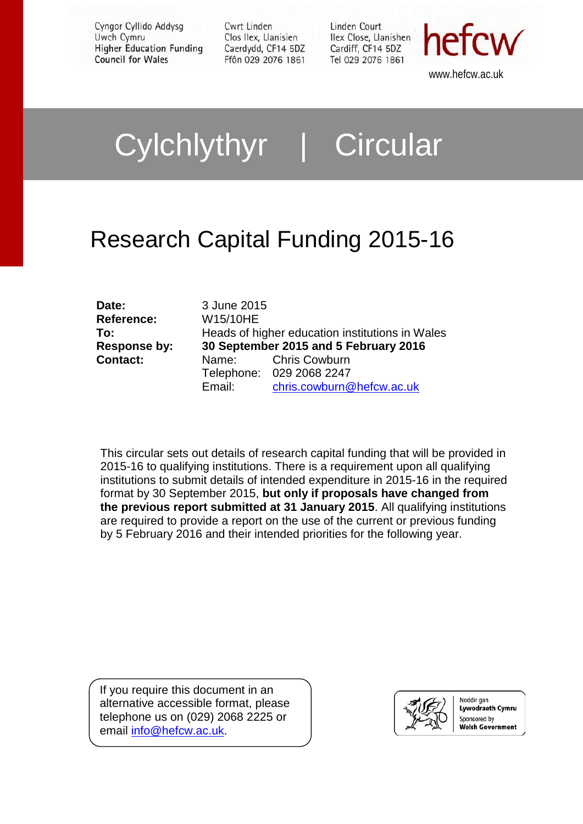Cyngor Cyllido Addysg Uwch Cymru **Higher Education Funding Council for Wales** 

Cwrt Linden Clos Ilex, Llanisien Caerdydd, CF14 5DZ Ffôn 029 2076 1861 Linden Court Ilex Close, Llanishen Cardiff, CF14 5DZ Tel 029 2076 1861



www.hefcw.ac.uk

# Cylchlythyr | Circular

# Research Capital Funding 2015-16

| Date:           | 3 June 2015                                     |                           |
|-----------------|-------------------------------------------------|---------------------------|
| Reference:      | W15/10HE                                        |                           |
| To:             | Heads of higher education institutions in Wales |                           |
| Response by:    | 30 September 2015 and 5 February 2016           |                           |
| <b>Contact:</b> |                                                 | Name: Chris Cowburn       |
|                 |                                                 | Telephone: 029 2068 2247  |
|                 | Email:                                          | chris.cowburn@hefcw.ac.uk |

This circular sets out details of research capital funding that will be provided in 2015-16 to qualifying institutions. There is a requirement upon all qualifying institutions to submit details of intended expenditure in 2015-16 in the required format by 30 September 2015, **but only if proposals have changed from the previous report submitted at 31 January 2015**. All qualifying institutions are required to provide a report on the use of the current or previous funding by 5 February 2016 and their intended priorities for the following year.

If you require this document in an alternative accessible format, please telephone us on (029) 2068 2225 or email [info@hefcw.ac.uk.](mailto:info@hefcw.ac.uk)



Noddir gan Lywodraeth Cymru Sponsored by Welsh Government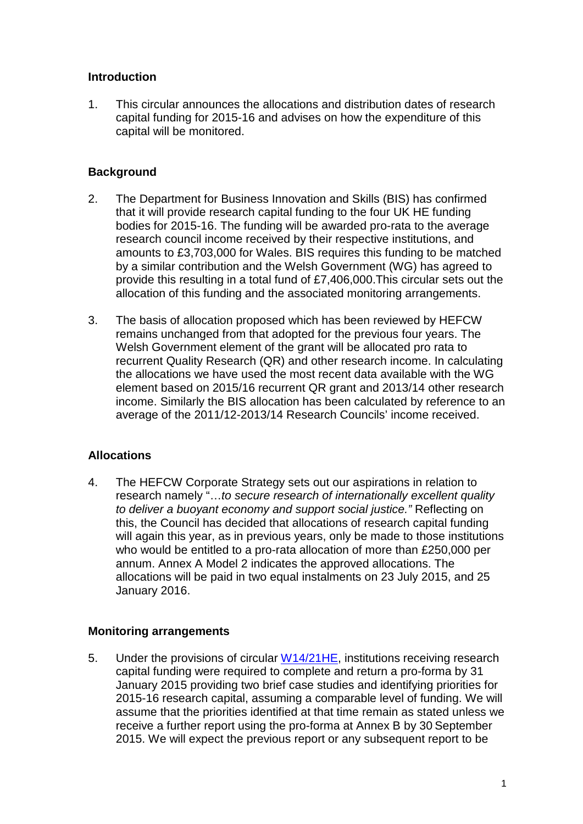# **Introduction**

1. This circular announces the allocations and distribution dates of research capital funding for 2015-16 and advises on how the expenditure of this capital will be monitored.

# **Background**

- 2. The Department for Business Innovation and Skills (BIS) has confirmed that it will provide research capital funding to the four UK HE funding bodies for 2015-16. The funding will be awarded pro-rata to the average research council income received by their respective institutions, and amounts to £3,703,000 for Wales. BIS requires this funding to be matched by a similar contribution and the Welsh Government (WG) has agreed to provide this resulting in a total fund of £7,406,000.This circular sets out the allocation of this funding and the associated monitoring arrangements.
- 3. The basis of allocation proposed which has been reviewed by HEFCW remains unchanged from that adopted for the previous four years. The Welsh Government element of the grant will be allocated pro rata to recurrent Quality Research (QR) and other research income. In calculating the allocations we have used the most recent data available with the WG element based on 2015/16 recurrent QR grant and 2013/14 other research income. Similarly the BIS allocation has been calculated by reference to an average of the 2011/12-2013/14 Research Councils' income received.

#### **Allocations**

4. The HEFCW Corporate Strategy sets out our aspirations in relation to research namely "…*to secure research of internationally excellent quality to deliver a buoyant economy and support social justice."* Reflecting on this, the Council has decided that allocations of research capital funding will again this year, as in previous years, only be made to those institutions who would be entitled to a pro-rata allocation of more than £250,000 per annum. Annex A Model 2 indicates the approved allocations. The allocations will be paid in two equal instalments on 23 July 2015, and 25 January 2016.

# **Monitoring arrangements**

5. Under the provisions of circular [W14/21HE,](http://www.hefcw.ac.uk/publications/circulars/circulars_2014.aspx) institutions receiving research capital funding were required to complete and return a pro-forma by 31 January 2015 providing two brief case studies and identifying priorities for 2015-16 research capital, assuming a comparable level of funding. We will assume that the priorities identified at that time remain as stated unless we receive a further report using the pro-forma at Annex B by 30 September 2015. We will expect the previous report or any subsequent report to be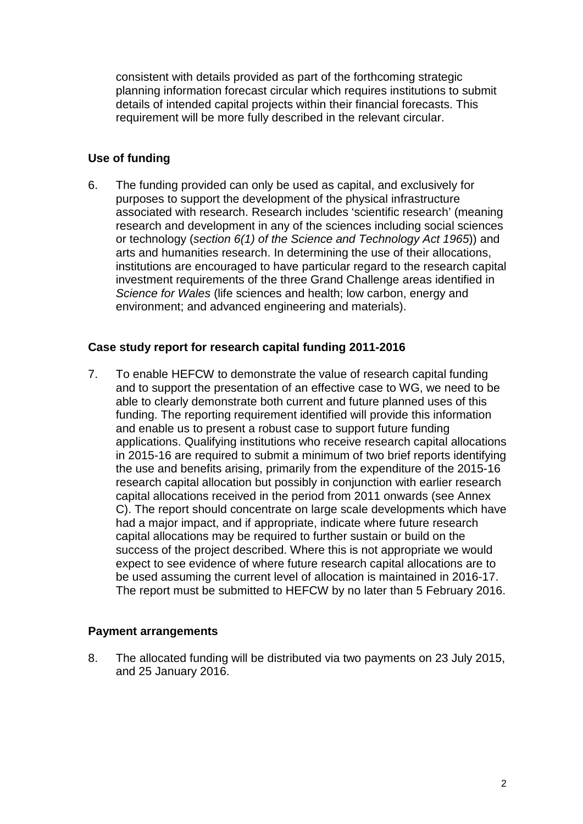consistent with details provided as part of the forthcoming strategic planning information forecast circular which requires institutions to submit details of intended capital projects within their financial forecasts. This requirement will be more fully described in the relevant circular.

# **Use of funding**

6. The funding provided can only be used as capital, and exclusively for purposes to support the development of the physical infrastructure associated with research. Research includes 'scientific research' (meaning research and development in any of the sciences including social sciences or technology (*section 6(1) of the Science and Technology Act 1965*)) and arts and humanities research. In determining the use of their allocations, institutions are encouraged to have particular regard to the research capital investment requirements of the three Grand Challenge areas identified in *Science for Wales* (life sciences and health; low carbon, energy and environment; and advanced engineering and materials).

#### **Case study report for research capital funding 2011-2016**

7. To enable HEFCW to demonstrate the value of research capital funding and to support the presentation of an effective case to WG, we need to be able to clearly demonstrate both current and future planned uses of this funding. The reporting requirement identified will provide this information and enable us to present a robust case to support future funding applications. Qualifying institutions who receive research capital allocations in 2015-16 are required to submit a minimum of two brief reports identifying the use and benefits arising, primarily from the expenditure of the 2015-16 research capital allocation but possibly in conjunction with earlier research capital allocations received in the period from 2011 onwards (see Annex C). The report should concentrate on large scale developments which have had a major impact, and if appropriate, indicate where future research capital allocations may be required to further sustain or build on the success of the project described. Where this is not appropriate we would expect to see evidence of where future research capital allocations are to be used assuming the current level of allocation is maintained in 2016-17. The report must be submitted to HEFCW by no later than 5 February 2016.

#### **Payment arrangements**

8. The allocated funding will be distributed via two payments on 23 July 2015, and 25 January 2016.